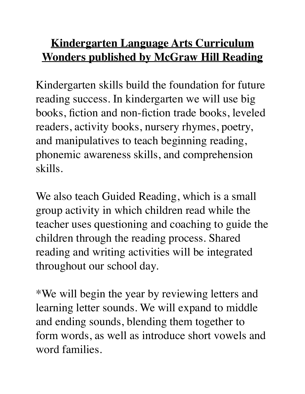# **Kindergarten Language Arts Curriculum Wonders published by McGraw Hill Reading**

Kindergarten skills build the foundation for future reading success. In kindergarten we will use big books, fiction and non-fiction trade books, leveled readers, activity books, nursery rhymes, poetry, and manipulatives to teach beginning reading, phonemic awareness skills, and comprehension skills.

We also teach Guided Reading, which is a small group activity in which children read while the teacher uses questioning and coaching to guide the children through the reading process. Shared reading and writing activities will be integrated throughout our school day.

\*We will begin the year by reviewing letters and learning letter sounds. We will expand to middle and ending sounds, blending them together to form words, as well as introduce short vowels and word families.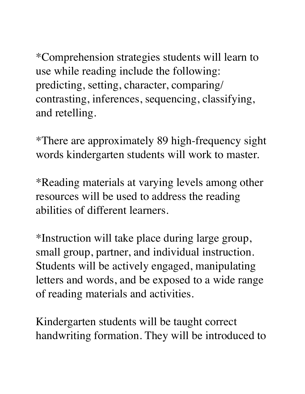\*Comprehension strategies students will learn to use while reading include the following: predicting, setting, character, comparing/ contrasting, inferences, sequencing, classifying, and retelling.

\*There are approximately 89 high-frequency sight words kindergarten students will work to master.

\*Reading materials at varying levels among other resources will be used to address the reading abilities of different learners.

\*Instruction will take place during large group, small group, partner, and individual instruction. Students will be actively engaged, manipulating letters and words, and be exposed to a wide range of reading materials and activities.

Kindergarten students will be taught correct handwriting formation. They will be introduced to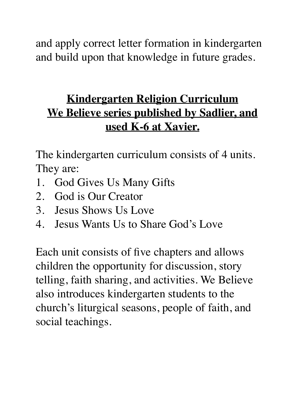and apply correct letter formation in kindergarten and build upon that knowledge in future grades.

### **Kindergarten Religion Curriculum We Believe series published by Sadlier, and used K-6 at Xavier.**

The kindergarten curriculum consists of 4 units. They are:

- 1. God Gives Us Many Gifts
- 2. God is Our Creator
- 3. Jesus Shows Us Love
- 4. Jesus Wants Us to Share God's Love

Each unit consists of five chapters and allows children the opportunity for discussion, story telling, faith sharing, and activities. We Believe also introduces kindergarten students to the church's liturgical seasons, people of faith, and social teachings.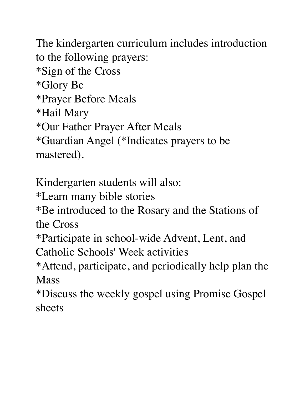The kindergarten curriculum includes introduction to the following prayers: \*Sign of the Cross \*Glory Be \*Prayer Before Meals \*Hail Mary \*Our Father Prayer After Meals \*Guardian Angel (\*Indicates prayers to be mastered).

Kindergarten students will also:

\*Learn many bible stories

\*Be introduced to the Rosary and the Stations of the Cross

\*Participate in school-wide Advent, Lent, and Catholic Schools' Week activities

\*Attend, participate, and periodically help plan the **Mass** 

\*Discuss the weekly gospel using Promise Gospel sheets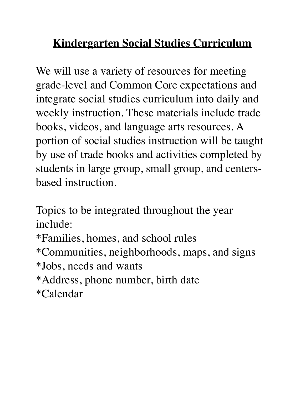# **Kindergarten Social Studies Curriculum**

We will use a variety of resources for meeting grade-level and Common Core expectations and integrate social studies curriculum into daily and weekly instruction. These materials include trade books, videos, and language arts resources. A portion of social studies instruction will be taught by use of trade books and activities completed by students in large group, small group, and centersbased instruction.

Topics to be integrated throughout the year include: \*Families, homes, and school rules \*Communities, neighborhoods, maps, and signs \*Jobs, needs and wants \*Address, phone number, birth date \*Calendar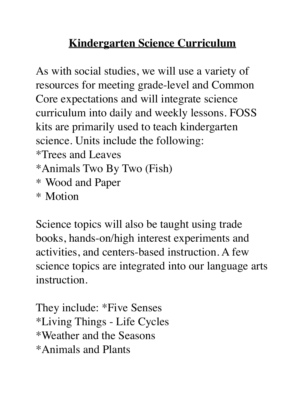### **Kindergarten Science Curriculum**

As with social studies, we will use a variety of resources for meeting grade-level and Common Core expectations and will integrate science curriculum into daily and weekly lessons. FOSS kits are primarily used to teach kindergarten science. Units include the following: \*Trees and Leaves \*Animals Two By Two (Fish) \* Wood and Paper \* Motion

Science topics will also be taught using trade books, hands-on/high interest experiments and activities, and centers-based instruction. A few science topics are integrated into our language arts instruction.

They include: \*Five Senses \*Living Things - Life Cycles \*Weather and the Seasons \*Animals and Plants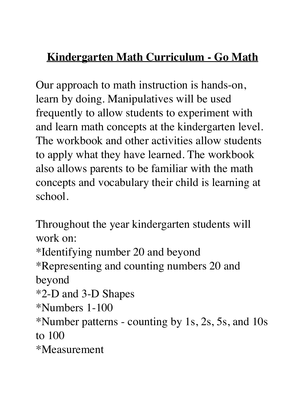# **Kindergarten Math Curriculum - Go Math**

Our approach to math instruction is hands-on, learn by doing. Manipulatives will be used frequently to allow students to experiment with and learn math concepts at the kindergarten level. The workbook and other activities allow students to apply what they have learned. The workbook also allows parents to be familiar with the math concepts and vocabulary their child is learning at school.

Throughout the year kindergarten students will work on:

\*Identifying number 20 and beyond

\*Representing and counting numbers 20 and beyond

\*2-D and 3-D Shapes

\*Numbers 1-100

\*Number patterns - counting by 1s, 2s, 5s, and 10s to 100

\*Measurement